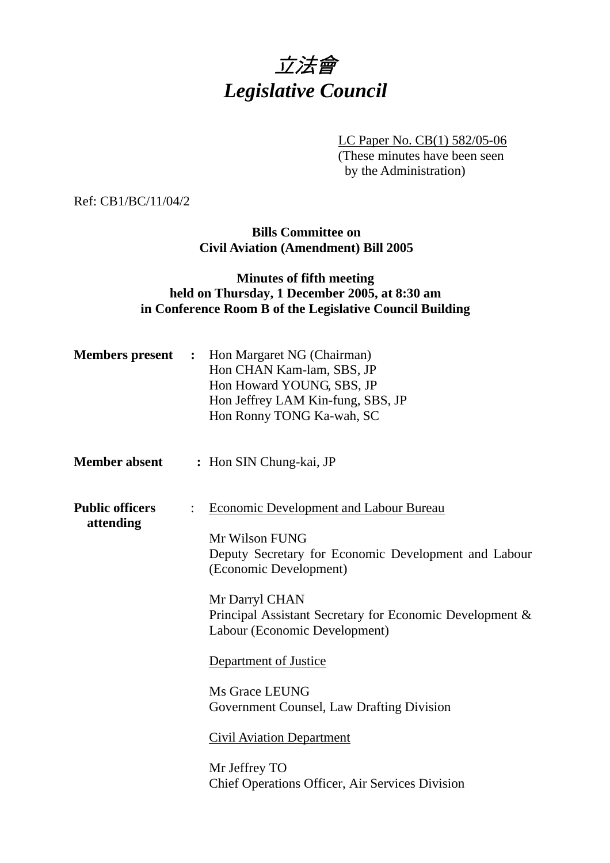

LC Paper No. CB(1) 582/05-06 (These minutes have been seen

by the Administration)

Ref: CB1/BC/11/04/2

### **Bills Committee on Civil Aviation (Amendment) Bill 2005**

## **Minutes of fifth meeting held on Thursday, 1 December 2005, at 8:30 am in Conference Room B of the Legislative Council Building**

| <b>Members</b> present              | Hon Margaret NG (Chairman)<br>$\mathbf{L}$<br>Hon CHAN Kam-lam, SBS, JP<br>Hon Howard YOUNG, SBS, JP<br>Hon Jeffrey LAM Kin-fung, SBS, JP<br>Hon Ronny TONG Ka-wah, SC                                                                                                                                                                                                                                                                                                                    |
|-------------------------------------|-------------------------------------------------------------------------------------------------------------------------------------------------------------------------------------------------------------------------------------------------------------------------------------------------------------------------------------------------------------------------------------------------------------------------------------------------------------------------------------------|
| <b>Member absent</b>                | : Hon SIN Chung-kai, JP                                                                                                                                                                                                                                                                                                                                                                                                                                                                   |
| <b>Public officers</b><br>attending | <b>Economic Development and Labour Bureau</b><br>$\ddot{\cdot}$<br>Mr Wilson FUNG<br>Deputy Secretary for Economic Development and Labour<br>(Economic Development)<br>Mr Darryl CHAN<br>Principal Assistant Secretary for Economic Development &<br>Labour (Economic Development)<br>Department of Justice<br>Ms Grace LEUNG<br>Government Counsel, Law Drafting Division<br><b>Civil Aviation Department</b><br>Mr Jeffrey TO<br><b>Chief Operations Officer, Air Services Division</b> |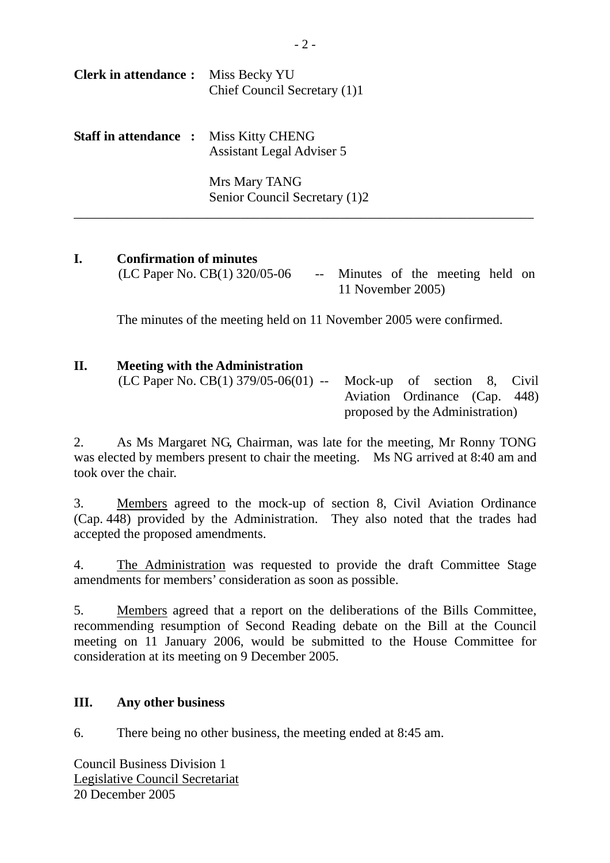| <b>Clerk in attendance:</b> Miss Becky YU     | Chief Council Secretary (1)1                   |
|-----------------------------------------------|------------------------------------------------|
| <b>Staff in attendance :</b> Miss Kitty CHENG | <b>Assistant Legal Adviser 5</b>               |
|                                               | Mrs Mary TANG<br>Senior Council Secretary (1)2 |

# **I. Confirmation of minutes**

 $(LC$  Paper No.  $CB(1)$  320/05-06 -- Minutes of the meeting held on 11 November 2005)

The minutes of the meeting held on 11 November 2005 were confirmed.

# **II. Meeting with the Administration**

(LC Paper No. CB(1) 379/05-06(01) -- Mock-up of section 8, Civil Aviation Ordinance (Cap. 448) proposed by the Administration)

2. As Ms Margaret NG, Chairman, was late for the meeting, Mr Ronny TONG was elected by members present to chair the meeting. Ms NG arrived at 8:40 am and took over the chair.

3. Members agreed to the mock-up of section 8, Civil Aviation Ordinance (Cap. 448) provided by the Administration. They also noted that the trades had accepted the proposed amendments.

4. The Administration was requested to provide the draft Committee Stage amendments for members' consideration as soon as possible.

5. Members agreed that a report on the deliberations of the Bills Committee, recommending resumption of Second Reading debate on the Bill at the Council meeting on 11 January 2006, would be submitted to the House Committee for consideration at its meeting on 9 December 2005.

### **III. Any other business**

6. There being no other business, the meeting ended at 8:45 am.

Council Business Division 1 Legislative Council Secretariat 20 December 2005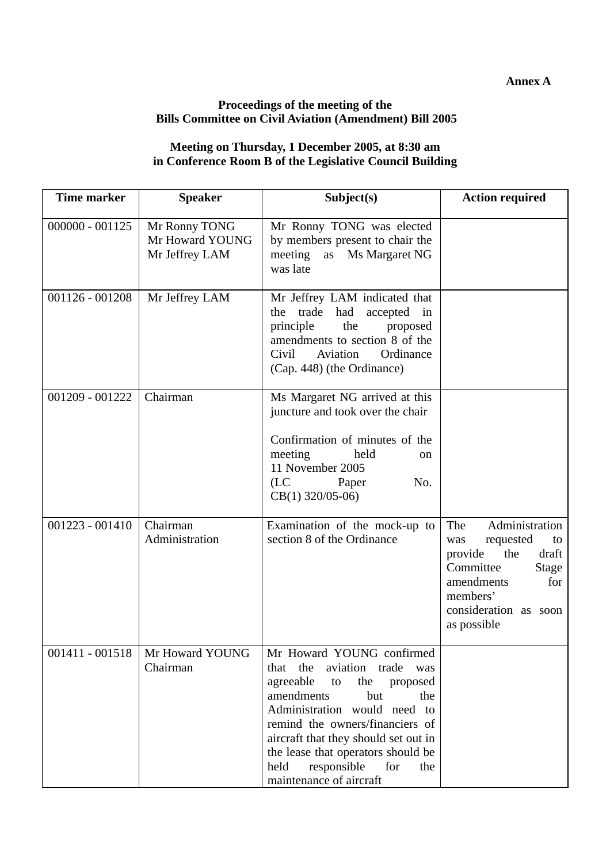#### **Annex A**

#### **Proceedings of the meeting of the Bills Committee on Civil Aviation (Amendment) Bill 2005**

#### **Meeting on Thursday, 1 December 2005, at 8:30 am in Conference Room B of the Legislative Council Building**

| <b>Time marker</b> | <b>Speaker</b>                                     | Subject(s)                                                                                                                                                                                                                                                                                                                                           | <b>Action required</b>                                                                                                                                                    |
|--------------------|----------------------------------------------------|------------------------------------------------------------------------------------------------------------------------------------------------------------------------------------------------------------------------------------------------------------------------------------------------------------------------------------------------------|---------------------------------------------------------------------------------------------------------------------------------------------------------------------------|
| $000000 - 001125$  | Mr Ronny TONG<br>Mr Howard YOUNG<br>Mr Jeffrey LAM | Mr Ronny TONG was elected<br>by members present to chair the<br>Ms Margaret NG<br>meeting<br>as<br>was late                                                                                                                                                                                                                                          |                                                                                                                                                                           |
| $001126 - 001208$  | Mr Jeffrey LAM                                     | Mr Jeffrey LAM indicated that<br>had<br>accepted in<br>the<br>trade<br>the<br>principle<br>proposed<br>amendments to section 8 of the<br>Aviation<br>Ordinance<br>Civil<br>(Cap. 448) (the Ordinance)                                                                                                                                                |                                                                                                                                                                           |
| 001209 - 001222    | Chairman                                           | Ms Margaret NG arrived at this<br>juncture and took over the chair<br>Confirmation of minutes of the<br>meeting<br>held<br><sub>on</sub><br>11 November 2005<br>(LC)<br>No.<br>Paper<br>$CB(1)$ 320/05-06)                                                                                                                                           |                                                                                                                                                                           |
| $001223 - 001410$  | Chairman<br>Administration                         | Examination of the mock-up to<br>section 8 of the Ordinance                                                                                                                                                                                                                                                                                          | Administration<br>The<br>requested<br>to<br>was<br>the<br>draft<br>provide<br>Committee<br>Stage<br>amendments<br>for<br>members'<br>consideration as soon<br>as possible |
| 001411 - 001518    | Mr Howard YOUNG<br>Chairman                        | Mr Howard YOUNG confirmed<br>the<br>aviation trade<br>that<br>was<br>agreeable<br>the<br>proposed<br>to<br>amendments<br>but<br>the<br>Administration would need to<br>remind the owners/financiers of<br>aircraft that they should set out in<br>the lease that operators should be<br>responsible<br>held<br>for<br>the<br>maintenance of aircraft |                                                                                                                                                                           |